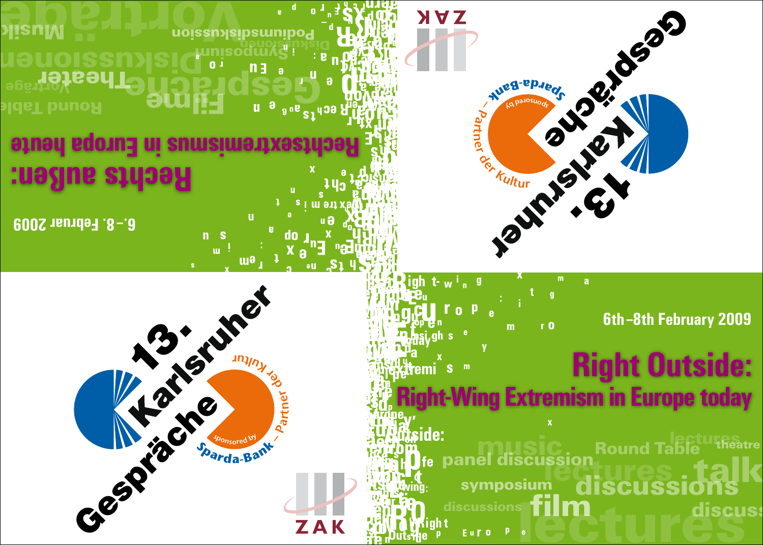

# **NAK 10595**  $\mathbf{c}$

**6th–8th February 2009**

# **Right Outside: Right-Wing Extremism in Europe today**

discussions film<br>
t<sub>Euro</sub> Pecture discu i<br>panel discussion<br>Panel discussion lectures symposium discussions talk **Round Table** discuss theatre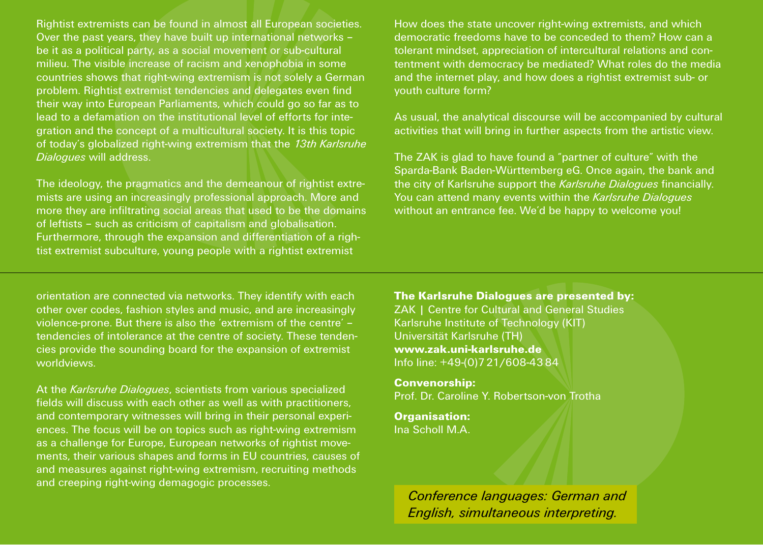Rightist extremists can be found in almost all European societies. Over the past years, they have built up international networks – be it as a political party, as a social movement or sub-cultural milieu. The visible increase of racism and xenophobia in some countries shows that right-wing extremism is not solely a German problem. Rightist extremist tendencies and delegates even find their way into European Parliaments, which could go so far as to lead to a defamation on the institutional level of efforts for integration and the concept of a multicultural society. It is this topic of today's globalized right-wing extremism that the *13th Karlsruhe Dialogues* will address.

The ideology, the pragmatics and the demeanour of rightist extremists are using an increasingly professional approach. More and more they are infiltrating social areas that used to be the domains of leftists – such as criticism of capitalism and globalisation. Furthermore, through the expansion and differentiation of a rightist extremist subculture, young people with a rightist extremist

How does the state uncover right-wing extremists, and which democratic freedoms have to be conceded to them? How can a tolerant mindset, appreciation of intercultural relations and contentment with democracy be mediated? What roles do the media and the internet play, and how does a rightist extremist sub- or youth culture form?

As usual, the analytical discourse will be accompanied by cultural activities that will bring in further aspects from the artistic view.

The ZAK is glad to have found a "partner of culture" with the Sparda-Bank Baden-Württemberg eG. Once again, the bank and the city of Karlsruhe support the *Karlsruhe Dialogues* financially. You can attend many events within the *Karlsruhe Dialogues* without an entrance fee. We'd be happy to welcome you!

orientation are connected via networks. They identify with each other over codes, fashion styles and music, and are increasingly violence-prone. But there is also the 'extremism of the centre' – tendencies of intolerance at the centre of society. These tendencies provide the sounding board for the expansion of extremist worldviews.

At the *Karlsruhe Dialogues*, scientists from various specialized fields will discuss with each other as well as with practitioners, and contemporary witnesses will bring in their personal experiences. The focus will be on topics such as right-wing extremism as a challenge for Europe, European networks of rightist movements, their various shapes and forms in EU countries, causes of and measures against right-wing extremism, recruiting methods and creeping right-wing demagogic processes.

The Karlsruhe Dialogues are presented by: ZAK | Centre for Cultural and General Studies Karlsruhe Institute of Technology (KIT) Universität Karlsruhe (TH) www.zak.uni-karlsruhe.de Info line: +49-(0)721/608-4384

Convenorship: Prof. Dr. Caroline Y. Robertson-von Trotha

Organisation: Ina Scholl M.A.

> *Conference languages: German and English, simultaneous interpreting.*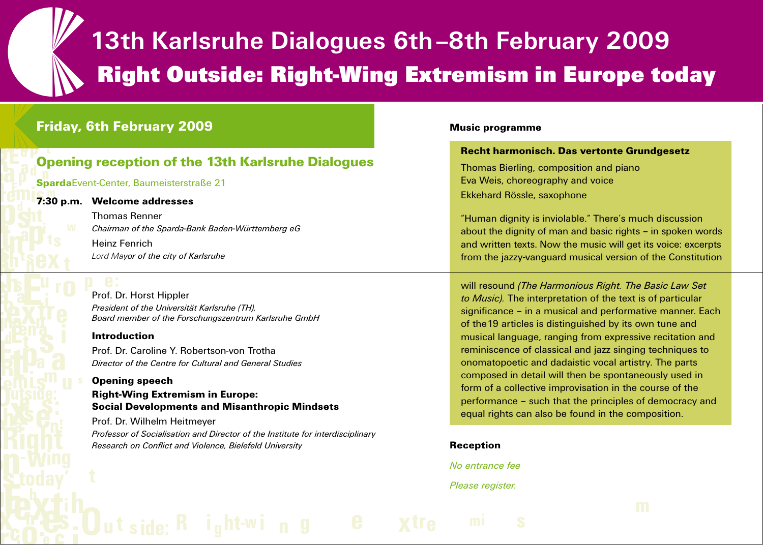# **13th Karlsruhe Dialogues 6th–8th February 2009 Right Outside: Right-Wing Extremism in Europe today**

# Friday, 6th February 2009

# Opening reception of the 13th Karlsruhe Dialogues

# SpardaEvent-Center, Baumeisterstraße 21

7:30 p.m. Welcome addresses

Thomas Renner *Chairman of the Sparda-Bank Baden-Württemberg eG* Heinz Fenrich *Lord Mayor of the city of Karlsruhe* 

# Prof. Dr. Horst Hippler *President of the Universität Karlsruhe (TH), Board member of the Forschungszentrum Karlsruhe GmbH*

# Introduction

Prof. Dr. Caroline Y. Robertson-von Trotha *Director of the Centre for Cultural and General Studies*

Opening speech Right-Wing Extremism in Europe: Social Developments and Misanthropic Mindsets

Prof. Dr. Wilhelm Heitmeyer *Professor of Socialisation and Director of the Institute for interdisciplinary Research on Conflict and Violence, Bielefeld University*

# Music programme

# Recht harmonisch. Das vertonte Grundgesetz

 Thomas Bierling, composition and piano Eva Weis, choreography and voice Ekkehard Rössle, saxophone

"Human dignity is inviolable." There's much discussion about the dignity of man and basic rights – in spoken words and written texts. Now the music will get its voice: excerpts from the jazzy-vanguard musical version of the Constitution

 will resound *(The Harmonious Right. The Basic Law Set to Music).* The interpretation of the text is of particular significance – in a musical and performative manner. Each of the19 articles is distinguished by its own tune and musical language, ranging from expressive recitation and reminiscence of classical and jazz singing techniques to onomatopoetic and dadaistic vocal artistry. The parts composed in detail will then be spontaneously used in form of a collective improvisation in the course of the performance – such that the principles of democracy and equal rights can also be found in the composition.

# **Reception**

 *No entrance fee*

# *Please register.*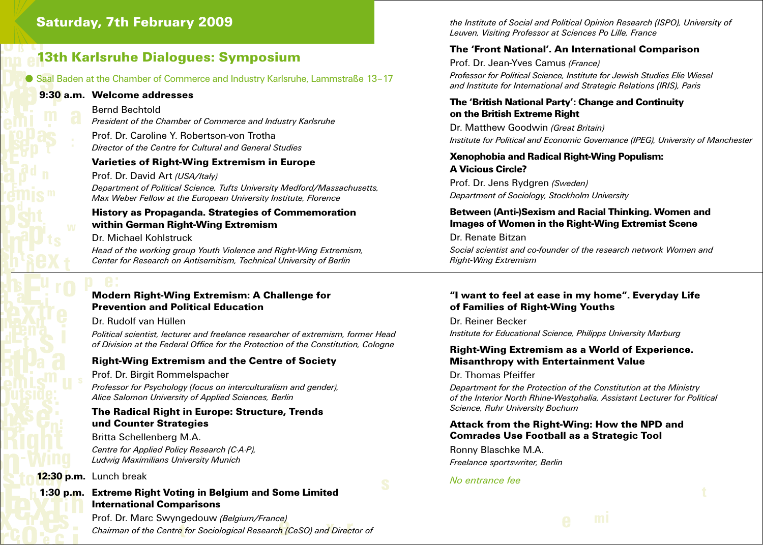# Saturday, 7th February 2009

# 13th Karlsruhe Dialogues: Symposium

## Saal Baden at the Chamber of Commerce and Industry Karlsruhe, Lammstraße 13–17

# 9:30 a.m. Welcome addresses

Bernd Bechtold

*President of the Chamber of Commerce and Industry Karlsruhe*

Prof. Dr. Caroline Y. Robertson-von Trotha *Director of the Centre for Cultural and General Studies*

# Varieties of Right-Wing Extremism in Europe

Prof. Dr. David Art *(USA/Italy) Department of Political Science, Tufts University Medford/Massachusetts, Max Weber Fellow at the European University Institute, Florence*

# History as Propaganda. Strategies of Commemoration within German Right-Wing Extremism

Dr. Michael Kohlstruck

*Head of the working group Youth Violence and Right-Wing Extremism, Center for Research on Antisemitism, Technical University of Berlin*

# Modern Right-Wing Extremism: A Challenge for Prevention and Political Education

Dr. Rudolf van Hüllen

*Political scientist, lecturer and freelance researcher of extremism, former Head of Division at the Federal Office for the Protection of the Constitution, Cologne*

# Right-Wing Extremism and the Centre of Society

Prof. Dr. Birgit Rommelspacher *Professor for Psychology (focus on interculturalism and gender), Alice Salomon University of Applied Sciences, Berlin*

# The Radical Right in Europe: Structure, Trends und Counter Strategies

Britta Schellenberg M.A. *Centre for Applied Policy Research (C·A·P), Ludwig Maximilians University Munich*

12:30 p.m. Lunch break

# 1:30 p.m. Extreme Right Voting in Belgium and Some Limited International Comparisons

Prof. Dr. Marc Swyngedouw *(Belgium/France) Chairman of the Centre for Sociological Research (CeSO) and Director of*  *the Institute of Social and Political Opinion Research (ISPO), University of Leuven, Visiting Professor at Sciences Po Lille, France*

# The 'Front National'. An International Comparison

Prof. Dr. Jean-Yves Camus *(France)*

*Professor for Political Science, Institute for Jewish Studies Elie Wiesel and Institute for International and Strategic Relations (IRIS), Paris*

# The 'British National Party': Change and Continuity on the British Extreme Right

Dr. Matthew Goodwin *(Great Britain) Institute for Political and Economic Governance (IPEG), University of Manchester*

# Xenophobia and Radical Right-Wing Populism:

A Vicious Circle? Prof. Dr. Jens Rydgren *(Sweden) Department of Sociology, Stockholm University*

# Between (Anti-)Sexism and Racial Thinking. Women and Images of Women in the Right-Wing Extremist Scene

Dr. Renate Bitzan *Social scientist and co-founder of the research network Women and Right-Wing Extremism*

# "I want to feel at ease in my home". Everyday Life of Families of Right-Wing Youths

Dr. Reiner Becker *Institute for Educational Science, Philipps University Marburg*

# Right-Wing Extremism as a World of Experience. Misanthropy with Entertainment Value

Dr. Thomas Pfeiffer

*Department for the Protection of the Constitution at the Ministry of the Interior North Rhine-Westphalia, Assistant Lecturer for Political Science, Ruhr University Bochum*

# Attack from the Right-Wing: How the NPD and Comrades Use Football as a Strategic Tool

Ronny Blaschke M.A. *Freelance sportswriter, Berlin*

#### *No entrance fee*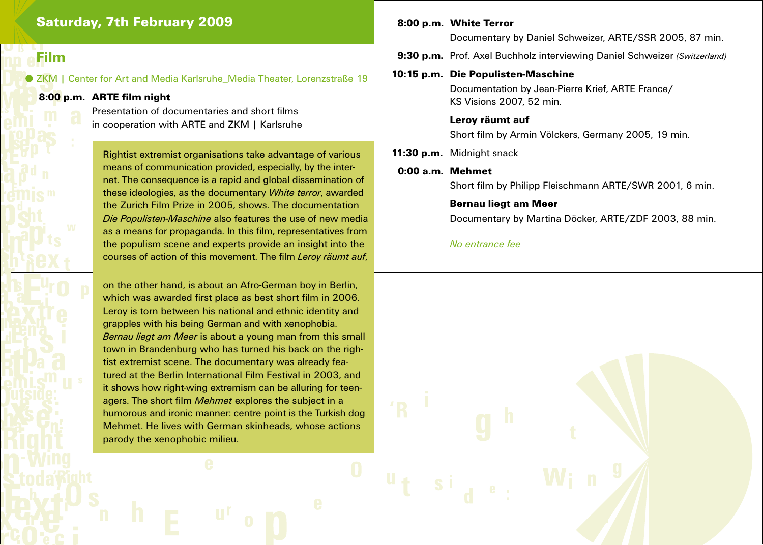# Saturday, 7th February 2009

# Film

#### ● ZKM | Center for Art and Media Karlsruhe\_Media Theater, Lorenzstraße 19

# 8:00 p.m. ARTE film night

 Presentation of documentaries and short films in cooperation with ARTE and ZKM | Karlsruhe

**Rightist extremist organisations take advantage of various**  means of communication provided, especially, by the inter net. The consequence is a rapid and global dissemination of these ideologies, as the documentary *White terror*, awarded the Zurich Film Prize in 2005, shows. The documentation *Die Populisten-Maschine* also features the use of new media as a means for propaganda. In this film, representatives from the populism scene and experts provide an insight into the courses of action of this movement. The film *Leroy räumt auf*,

 on the other hand, is about an Afro-German boy in Berlin, which was awarded first place as best short film in 2006. Leroy is torn between his national and ethnic identity and grapples with his being German and with xenophobia. *Bernau liegt am Meer* is about a young man from this small town in Brandenburg who has turned his back on the righ tist extremist scene. The documentary was already fea tured at the Berlin International Film Festival in 2003, and it shows how right-wing extremism can be alluring for teen agers. The short film *Mehmet* explores the subject in a humorous and ironic manner: centre point is the Turkish dog Mehmet. He lives with German skinheads, whose actions parody the xenophobic milieu.

# 8:00 p.m. White Terror

Documentary by Daniel Schweizer, ARTE/SSR 2005, 87 min.

9:30 p.m. Prof. Axel Buchholz interviewing Daniel Schweizer *(Switzerland)*

# 10:15 p.m. Die Populisten-Maschine

 Documentation by Jean-Pierre Krief, ARTE France/ KS Visions 2007, 52 min.

## Leroy räumt auf

Short film by Armin Völckers, Germany 2005, 19 min.

11:30 p.m. Midnight snack

#### 0:00 a.m. Mehmet

Short film by Philipp Fleischmann ARTE/SWR 2001, 6 min.

#### Bernau liegt am Meer

Documentary by Martina Döcker, ARTE/ZDF 2003, 88 min.

# *No entrance fee*

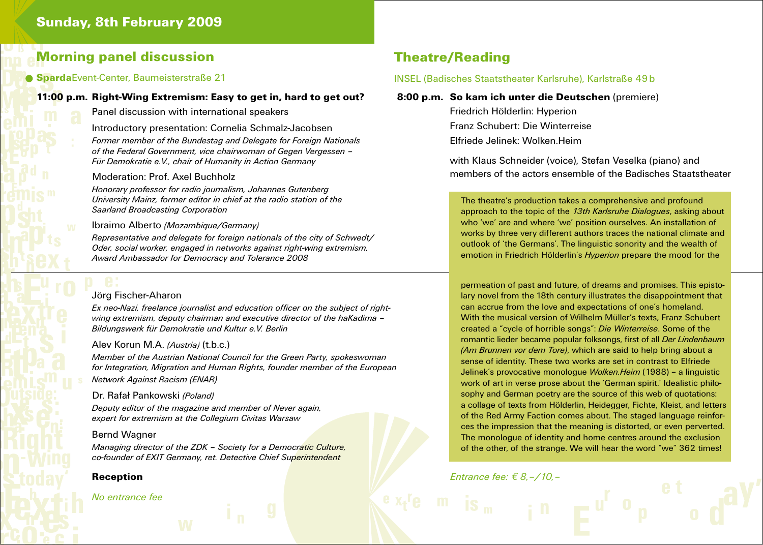# Morning panel discussion

# **Sparda**Event-Center, Baumeisterstraße 21

# 11:00 p.m. Right-Wing Extremism: Easy to get in, hard to get out?

Panel discussion with international speakers

Introductory presentation: Cornelia Schmalz-Jacobsen

*Former member of the Bundestag and Delegate for Foreign Nationals of the Federal Government, vice chairwoman of Gegen Vergessen – Für Demokratie e.V., chair of Humanity in Action Germany*

# Moderation: Prof. Axel Buchholz

*Honorary professor for radio journalism, Johannes Gutenberg University Mainz, former editor in chief at the radio station of the Saarland Broadcasting Corporation*

#### Ibraimo Alberto *(Mozambique/Germany)*

*Representative and delegate for foreign nationals of the city of Schwedt/ Oder, social worker, engaged in networks against right-wing extremism, Award Ambassador for Democracy and Tolerance 2008*

# Jörg Fischer-Aharon

*Ex neo-Nazi, freelance journalist and education officer on the subject of rightwing extremism, deputy chairman and executive director of the haKadima – Bildungswerk für Demokratie und Kultur e.V. Berlin*

# Alev Korun M.A. *(Austria)* (t.b.c.)

*Member of the Austrian National Council for the Green Party, spokeswoman for Integration, Migration and Human Rights, founder member of the European Network Against Racism (ENAR)*

#### Dr. Rafał Pankowski *(Poland)*

*Deputy editor of the magazine and member of Never again, expert for extremism at the Collegium Civitas Warsaw*

# Bernd Wagner

*Managing director of the ZDK – Society for a Democratic Culture, co-founder of EXIT Germany, ret. Detective Chief Superintendent* 

# Reception

# *No entrance fee*

# Theatre/Reading

# INSEL (Badisches Staatstheater Karlsruhe), Karlstraße 49b

# 8:00 p.m. So kam ich unter die Deutschen (premiere)

 Friedrich Hölderlin: Hyperion Franz Schubert: Die Winterreise Elfriede Jelinek: Wolken.Heim

with Klaus Schneider (voice), Stefan Veselka (piano) and members of the actors ensemble of the Badisches Staatstheater

# The theatre's production takes a comprehensive and profound approach to the topic of the *13th Karlsruhe Dialogues*, asking about who 'we' are and where 'we' position ourselves. An installation of works by three very different authors traces the national climate and outlook of 'the Germans'. The linguistic sonority and the wealth of emotion in Friedrich Hölderlin's *Hyperion* prepare the mood for the

*ˇ* With the musical version of Wilhelm Müller's texts, Franz Schubert permeation of past and future, of dreams and promises. This epistolary novel from the 18th century illustrates the disappointment that can accrue from the love and expectations of one's homeland. created a "cycle of horrible songs": *Die Winterreise*. Some of the romantic lieder became popular folksongs, first of all *Der Lindenbaum (Am Brunnen vor dem Tore)*, which are said to help bring about a sense of identity. These two works are set in contrast to Elfriede Jelinek's provocative monologue *Wolken.Heim* (1988) – a linguistic work of art in verse prose about the 'German spirit.' Idealistic philosophy and German poetry are the source of this web of quotations: a collage of texts from Hölderlin, Heidegger, Fichte, Kleist, and letters of the Red Army Faction comes about. The staged language reinforces the impression that the meaning is distorted, or even perverted. The monologue of identity and home centres around the exclusion of the other, of the strange. We will hear the word "we" 362 times!

*Entrance fee: € 8,–/10,–*